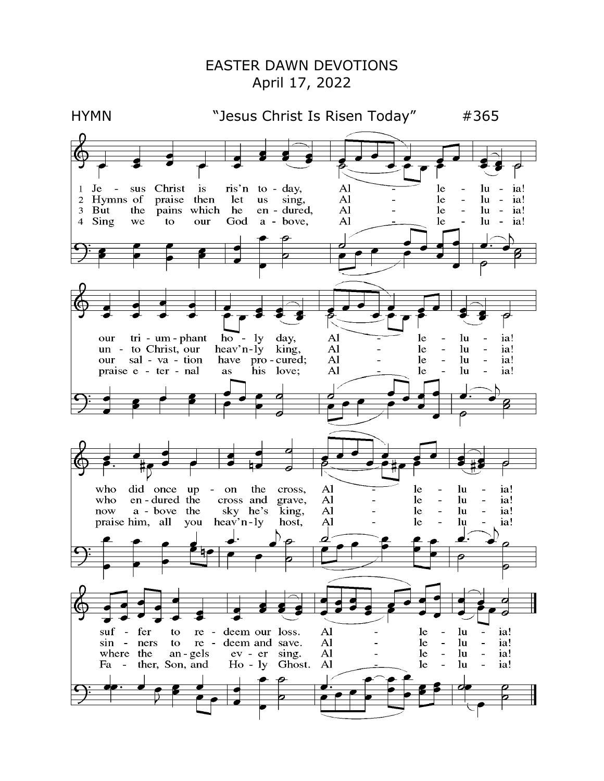## EASTER DAWN DEVOTIONS April 17, 2022

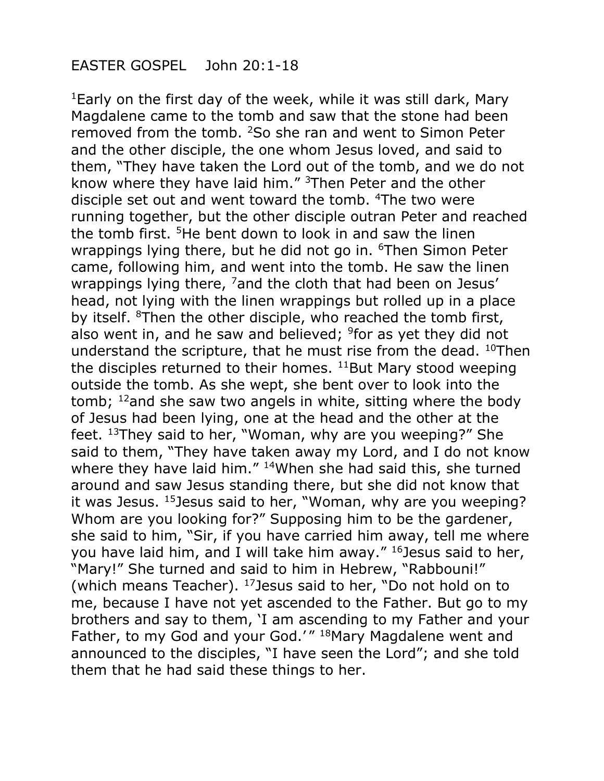## EASTER GOSPEL John 20:1-18

<sup>1</sup>Early on the first day of the week, while it was still dark, Mary Magdalene came to the tomb and saw that the stone had been removed from the tomb. <sup>2</sup>So she ran and went to Simon Peter and the other disciple, the one whom Jesus loved, and said to them, "They have taken the Lord out of the tomb, and we do not know where they have laid him." <sup>3</sup>Then Peter and the other disciple set out and went toward the tomb. <sup>4</sup>The two were running together, but the other disciple outran Peter and reached the tomb first. <sup>5</sup>He bent down to look in and saw the linen wrappings lying there, but he did not go in. <sup>6</sup>Then Simon Peter came, following him, and went into the tomb. He saw the linen wrappings lying there, <sup>7</sup> and the cloth that had been on Jesus' head, not lying with the linen wrappings but rolled up in a place by itself. <sup>8</sup>Then the other disciple, who reached the tomb first, also went in, and he saw and believed; <sup>9</sup>for as yet they did not understand the scripture, that he must rise from the dead. <sup>10</sup>Then the disciples returned to their homes.  $11$ But Mary stood weeping outside the tomb. As she wept, she bent over to look into the tomb; <sup>12</sup>and she saw two angels in white, sitting where the body of Jesus had been lying, one at the head and the other at the feet. <sup>13</sup>They said to her, "Woman, why are you weeping?" She said to them, "They have taken away my Lord, and I do not know where they have laid him." <sup>14</sup>When she had said this, she turned around and saw Jesus standing there, but she did not know that it was Jesus. <sup>15</sup>Jesus said to her, "Woman, why are you weeping? Whom are you looking for?" Supposing him to be the gardener, she said to him, "Sir, if you have carried him away, tell me where you have laid him, and I will take him away." <sup>16</sup>Jesus said to her, "Mary!" She turned and said to him in Hebrew, "Rabbouni!" (which means Teacher). <sup>17</sup>Jesus said to her, "Do not hold on to me, because I have not yet ascended to the Father. But go to my brothers and say to them, 'I am ascending to my Father and your Father, to my God and your God.'" <sup>18</sup>Mary Magdalene went and announced to the disciples, "I have seen the Lord"; and she told them that he had said these things to her.